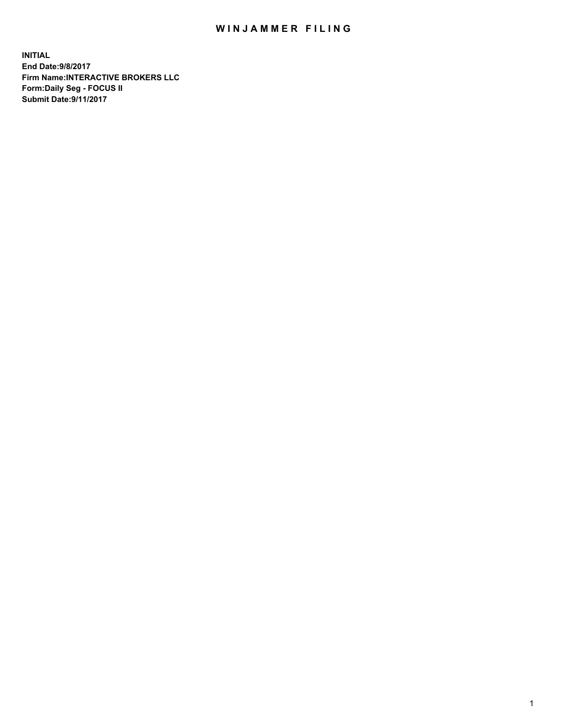## WIN JAMMER FILING

**INITIAL End Date:9/8/2017 Firm Name:INTERACTIVE BROKERS LLC Form:Daily Seg - FOCUS II Submit Date:9/11/2017**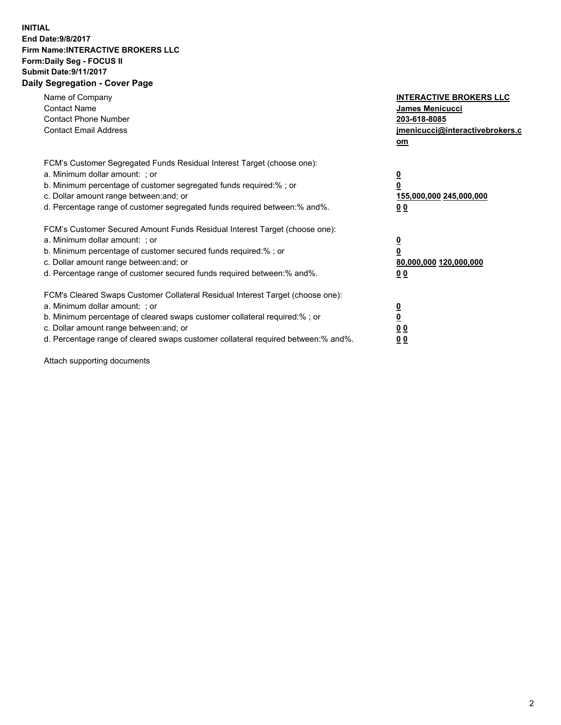## **INITIAL End Date:9/8/2017 Firm Name:INTERACTIVE BROKERS LLC Form:Daily Seg - FOCUS II Submit Date:9/11/2017 Daily Segregation - Cover Page**

| Name of Company<br><b>Contact Name</b><br><b>Contact Phone Number</b><br><b>Contact Email Address</b>                                                                                                                                                                                                                          | <b>INTERACTIVE BROKERS LLC</b><br><b>James Menicucci</b><br>203-618-8085<br>jmenicucci@interactivebrokers.c<br>om |
|--------------------------------------------------------------------------------------------------------------------------------------------------------------------------------------------------------------------------------------------------------------------------------------------------------------------------------|-------------------------------------------------------------------------------------------------------------------|
| FCM's Customer Segregated Funds Residual Interest Target (choose one):<br>a. Minimum dollar amount: ; or<br>b. Minimum percentage of customer segregated funds required:% ; or<br>c. Dollar amount range between: and; or<br>d. Percentage range of customer segregated funds required between: % and %.                       | $\overline{\mathbf{0}}$<br>0<br>155,000,000 245,000,000<br>00                                                     |
| FCM's Customer Secured Amount Funds Residual Interest Target (choose one):<br>a. Minimum dollar amount: ; or<br>b. Minimum percentage of customer secured funds required:%; or<br>c. Dollar amount range between: and; or<br>d. Percentage range of customer secured funds required between: % and %.                          | $\overline{\mathbf{0}}$<br>0<br>80,000,000 120,000,000<br>0 <sub>0</sub>                                          |
| FCM's Cleared Swaps Customer Collateral Residual Interest Target (choose one):<br>a. Minimum dollar amount: ; or<br>b. Minimum percentage of cleared swaps customer collateral required:% ; or<br>c. Dollar amount range between: and; or<br>d. Percentage range of cleared swaps customer collateral required between:% and%. | $\overline{\mathbf{0}}$<br>$\underline{\mathbf{0}}$<br>0 <sub>0</sub><br>0 <sub>0</sub>                           |

Attach supporting documents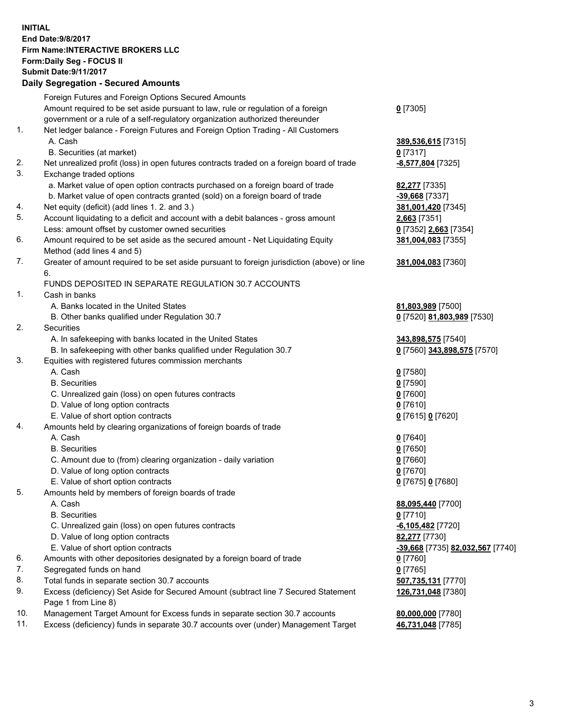## **INITIAL End Date:9/8/2017 Firm Name:INTERACTIVE BROKERS LLC Form:Daily Seg - FOCUS II Submit Date:9/11/2017 Daily Segregation - Secured Amounts**

|     | Daily Segregation - Secured Announts                                                                       |                                        |
|-----|------------------------------------------------------------------------------------------------------------|----------------------------------------|
|     | Foreign Futures and Foreign Options Secured Amounts                                                        |                                        |
|     | Amount required to be set aside pursuant to law, rule or regulation of a foreign                           | $0$ [7305]                             |
|     | government or a rule of a self-regulatory organization authorized thereunder                               |                                        |
| 1.  | Net ledger balance - Foreign Futures and Foreign Option Trading - All Customers                            |                                        |
|     | A. Cash                                                                                                    | 389,536,615 [7315]                     |
|     | B. Securities (at market)                                                                                  | $0$ [7317]                             |
| 2.  | Net unrealized profit (loss) in open futures contracts traded on a foreign board of trade                  | -8,577,804 [7325]                      |
| 3.  | Exchange traded options                                                                                    |                                        |
|     | a. Market value of open option contracts purchased on a foreign board of trade                             | <b>82,277</b> [7335]                   |
|     | b. Market value of open contracts granted (sold) on a foreign board of trade                               | -39,668 [7337]                         |
| 4.  | Net equity (deficit) (add lines 1.2. and 3.)                                                               | 381,001,420 [7345]                     |
| 5.  | Account liquidating to a deficit and account with a debit balances - gross amount                          | 2,663 [7351]                           |
|     | Less: amount offset by customer owned securities                                                           | 0 [7352] 2,663 [7354]                  |
| 6.  | Amount required to be set aside as the secured amount - Net Liquidating Equity                             | 381,004,083 [7355]                     |
|     | Method (add lines 4 and 5)                                                                                 |                                        |
| 7.  | Greater of amount required to be set aside pursuant to foreign jurisdiction (above) or line                | 381,004,083 [7360]                     |
|     | 6.                                                                                                         |                                        |
|     | FUNDS DEPOSITED IN SEPARATE REGULATION 30.7 ACCOUNTS                                                       |                                        |
| 1.  | Cash in banks                                                                                              |                                        |
|     | A. Banks located in the United States                                                                      | 81,803,989 [7500]                      |
|     | B. Other banks qualified under Regulation 30.7                                                             | 0 [7520] 81,803,989 [7530]             |
| 2.  | Securities                                                                                                 |                                        |
|     | A. In safekeeping with banks located in the United States                                                  | 343,898,575 [7540]                     |
|     | B. In safekeeping with other banks qualified under Regulation 30.7                                         | 0 [7560] 343,898,575 [7570]            |
| 3.  | Equities with registered futures commission merchants                                                      |                                        |
|     | A. Cash                                                                                                    | $0$ [7580]                             |
|     | <b>B.</b> Securities                                                                                       | $0$ [7590]                             |
|     | C. Unrealized gain (loss) on open futures contracts                                                        | $0$ [7600]                             |
|     | D. Value of long option contracts                                                                          | $0$ [7610]                             |
|     | E. Value of short option contracts                                                                         | 0 [7615] 0 [7620]                      |
| 4.  | Amounts held by clearing organizations of foreign boards of trade                                          |                                        |
|     | A. Cash                                                                                                    | $0$ [7640]                             |
|     | <b>B.</b> Securities                                                                                       | $0$ [7650]                             |
|     | C. Amount due to (from) clearing organization - daily variation                                            | $0$ [7660]                             |
|     | D. Value of long option contracts                                                                          | $0$ [7670]                             |
|     | E. Value of short option contracts                                                                         | 0 [7675] 0 [7680]                      |
| 5.  | Amounts held by members of foreign boards of trade                                                         |                                        |
|     | A. Cash                                                                                                    | 88,095,440 [7700]                      |
|     | <b>B.</b> Securities                                                                                       | $0$ [7710]                             |
|     | C. Unrealized gain (loss) on open futures contracts                                                        | $-6,105,482$ [7720]                    |
|     | D. Value of long option contracts                                                                          | 82,277 [7730]                          |
|     | E. Value of short option contracts                                                                         | -39,668 [7735] 82,032,567 [7740]       |
| 6.  | Amounts with other depositories designated by a foreign board of trade                                     | 0 [7760]                               |
| 7.  | Segregated funds on hand                                                                                   | $0$ [7765]                             |
| 8.  | Total funds in separate section 30.7 accounts                                                              | 507,735,131 [7770]                     |
| 9.  | Excess (deficiency) Set Aside for Secured Amount (subtract line 7 Secured Statement<br>Page 1 from Line 8) | 126,731,048 [7380]                     |
| 10. | Management Target Amount for Excess funds in separate section 30.7 accounts                                |                                        |
| 11. | Excess (deficiency) funds in separate 30.7 accounts over (under) Management Target                         | 80,000,000 [7780]<br>46,731,048 [7785] |
|     |                                                                                                            |                                        |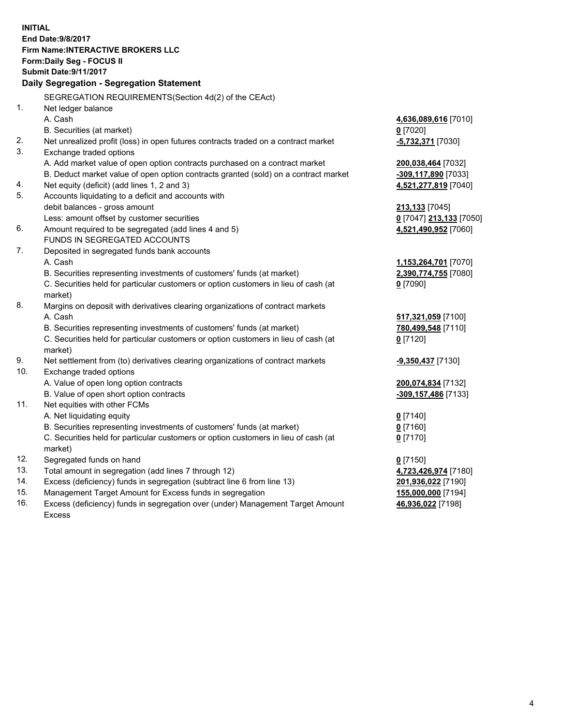**INITIAL End Date:9/8/2017 Firm Name:INTERACTIVE BROKERS LLC Form:Daily Seg - FOCUS II Submit Date:9/11/2017 Daily Segregation - Segregation Statement** SEGREGATION REQUIREMENTS(Section 4d(2) of the CEAct) 1. Net ledger balance A. Cash **4,636,089,616** [7010] B. Securities (at market) **0** [7020] 2. Net unrealized profit (loss) in open futures contracts traded on a contract market **-5,732,371** [7030] 3. Exchange traded options A. Add market value of open option contracts purchased on a contract market **200,038,464** [7032] B. Deduct market value of open option contracts granted (sold) on a contract market **-309,117,890** [7033] 4. Net equity (deficit) (add lines 1, 2 and 3) **4,521,277,819** [7040] 5. Accounts liquidating to a deficit and accounts with debit balances - gross amount **213,133** [7045] Less: amount offset by customer securities **0** [7047] **213,133** [7050] 6. Amount required to be segregated (add lines 4 and 5) **4,521,490,952** [7060] FUNDS IN SEGREGATED ACCOUNTS 7. Deposited in segregated funds bank accounts A. Cash **1,153,264,701** [7070] B. Securities representing investments of customers' funds (at market) **2,390,774,755** [7080] C. Securities held for particular customers or option customers in lieu of cash (at market) **0** [7090] 8. Margins on deposit with derivatives clearing organizations of contract markets A. Cash **517,321,059** [7100] B. Securities representing investments of customers' funds (at market) **780,499,548** [7110] C. Securities held for particular customers or option customers in lieu of cash (at market) **0** [7120] 9. Net settlement from (to) derivatives clearing organizations of contract markets **-9,350,437** [7130] 10. Exchange traded options A. Value of open long option contracts **200,074,834** [7132] B. Value of open short option contracts **-309,157,486** [7133] 11. Net equities with other FCMs A. Net liquidating equity **0** [7140] B. Securities representing investments of customers' funds (at market) **0** [7160] C. Securities held for particular customers or option customers in lieu of cash (at market) **0** [7170] 12. Segregated funds on hand **0** [7150] 13. Total amount in segregation (add lines 7 through 12) **4,723,426,974** [7180] 14. Excess (deficiency) funds in segregation (subtract line 6 from line 13) **201,936,022** [7190] 15. Management Target Amount for Excess funds in segregation **155,000,000** [7194] **46,936,022** [7198]

16. Excess (deficiency) funds in segregation over (under) Management Target Amount Excess